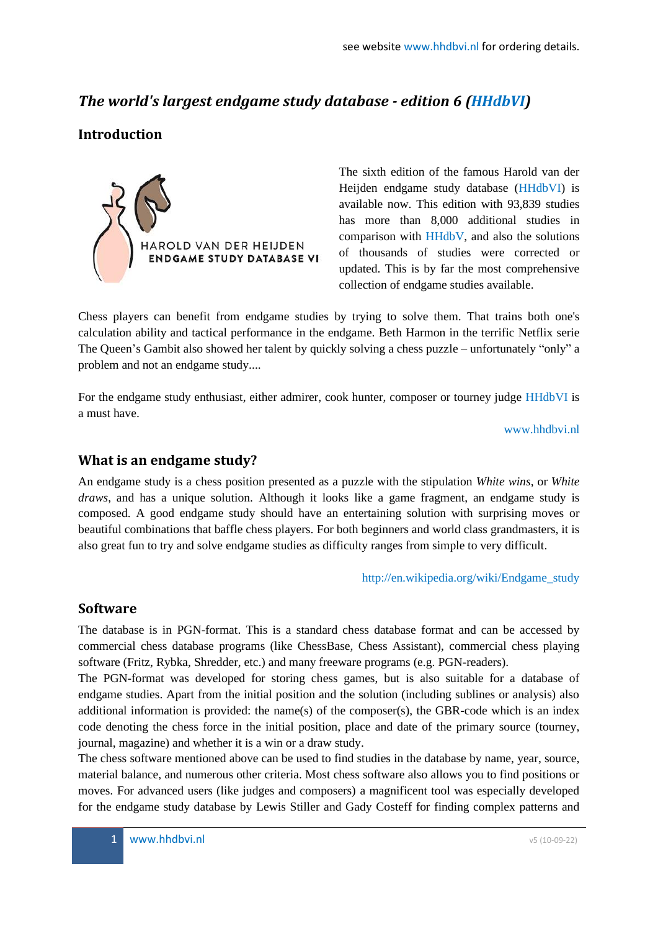# *The world's largest endgame study database - edition 6 (HHdbVI)*

# **Introduction**



The sixth edition of the famous Harold van der Heijden endgame study database (HHdbVI) is available now. This edition with 93,839 studies has more than 8,000 additional studies in comparison with HHdbV, and also the solutions of thousands of studies were corrected or updated. This is by far the most comprehensive collection of endgame studies available.

Chess players can benefit from endgame studies by trying to solve them. That trains both one's calculation ability and tactical performance in the endgame. Beth Harmon in the terrific Netflix serie The Queen's Gambit also showed her talent by quickly solving a chess puzzle – unfortunately "only" a problem and not an endgame study....

For the endgame study enthusiast, either admirer, cook hunter, composer or tourney judge HHdbVI is a must have.

www.hhdbvi.nl

# **What is an endgame study?**

An endgame study is a chess position presented as a puzzle with the stipulation *White wins*, or *White draws*, and has a unique solution. Although it looks like a game fragment, an endgame study is composed. A good endgame study should have an entertaining solution with surprising moves or beautiful combinations that baffle chess players. For both beginners and world class grandmasters, it is also great fun to try and solve endgame studies as difficulty ranges from simple to very difficult.

http://en.wikipedia.org/wiki/Endgame\_study

# **Software**

The database is in PGN-format. This is a standard chess database format and can be accessed by commercial chess database programs (like ChessBase, Chess Assistant), commercial chess playing software (Fritz, Rybka, Shredder, etc.) and many freeware programs (e.g. PGN-readers).

The PGN-format was developed for storing chess games, but is also suitable for a database of endgame studies. Apart from the initial position and the solution (including sublines or analysis) also additional information is provided: the name(s) of the composer(s), the GBR-code which is an index code denoting the chess force in the initial position, place and date of the primary source (tourney, journal, magazine) and whether it is a win or a draw study.

The chess software mentioned above can be used to find studies in the database by name, year, source, material balance, and numerous other criteria. Most chess software also allows you to find positions or moves. For advanced users (like judges and composers) a magnificent tool was especially developed for the endgame study database by Lewis Stiller and Gady Costeff for finding complex patterns and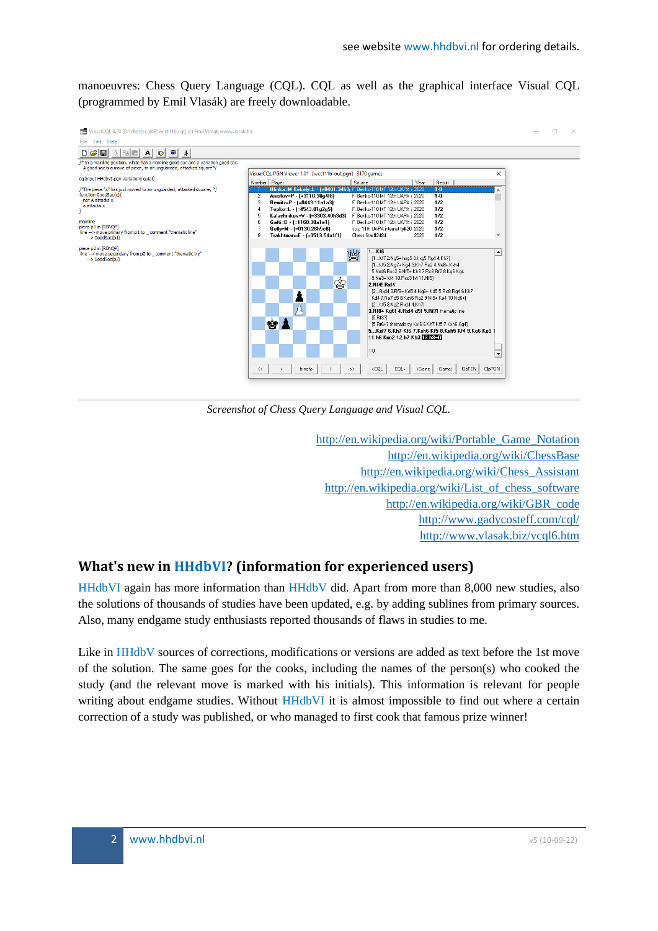manoeuvres: Chess Query Language (CQL). CQL as well as the graphical interface Visual CQL (programmed by Emil Vlasák) are freely downloadable.



*Screenshot of Chess Query Language and Visual CQL.*

[http://en.wikipedia.org/wiki/Portable\\_Game\\_Notation](http://en.wikipedia.org/wiki/Portable_Game_Notation) <http://en.wikipedia.org/wiki/ChessBase> [http://en.wikipedia.org/wiki/Chess\\_Assistant](http://en.wikipedia.org/wiki/Chess_Assistant) [http://en.wikipedia.org/wiki/List\\_of\\_chess\\_software](http://en.wikipedia.org/wiki/List_of_chess_software) [http://en.wikipedia.org/wiki/GBR\\_code](http://en.wikipedia.org/wiki/GBR_code) <http://www.gadycosteff.com/cql/> <http://www.vlasak.biz/vcql6.htm>

# **What's new in HHdbVI? (information for experienced users)**

HHdbVI again has more information than HHdbV did. Apart from more than 8,000 new studies, also the solutions of thousands of studies have been updated, e.g. by adding sublines from primary sources. Also, many endgame study enthusiasts reported thousands of flaws in studies to me.

Like in HHdbV sources of corrections, modifications or versions are added as text before the 1st move of the solution. The same goes for the cooks, including the names of the person(s) who cooked the study (and the relevant move is marked with his initials). This information is relevant for people writing about endgame studies. Without HHdbVI it is almost impossible to find out where a certain correction of a study was published, or who managed to first cook that famous prize winner!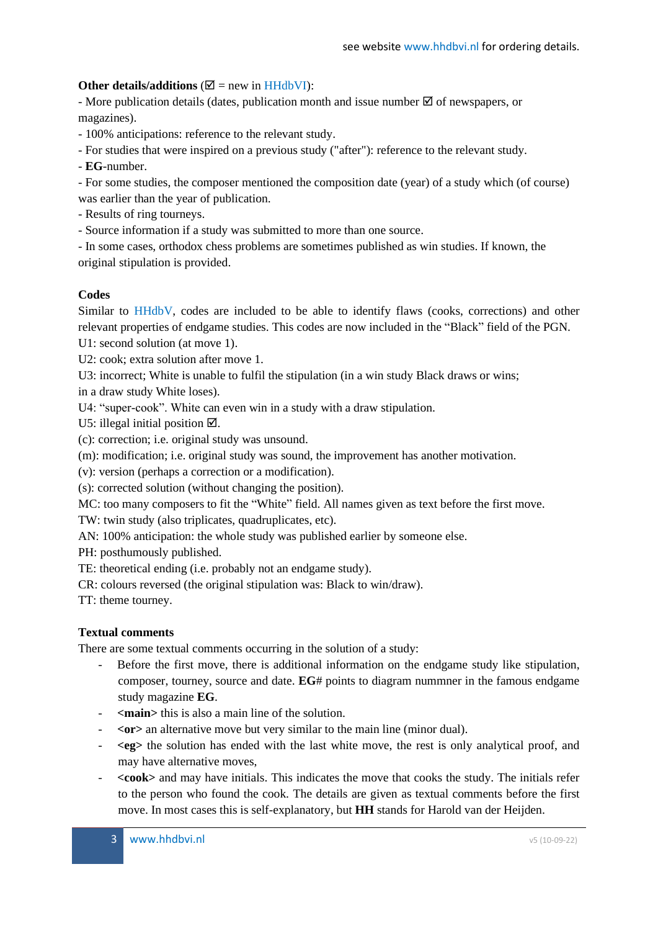### **Other details/additions** ( $\mathbb{Z}$  = new in HHdbVI):

- More publication details (dates, publication month and issue number  $\boxtimes$  of newspapers, or magazines).

- 100% anticipations: reference to the relevant study.

- For studies that were inspired on a previous study ("after"): reference to the relevant study.

- **EG**-number.

- For some studies, the composer mentioned the composition date (year) of a study which (of course) was earlier than the year of publication.

- Results of ring tourneys.
- Source information if a study was submitted to more than one source.

- In some cases, orthodox chess problems are sometimes published as win studies. If known, the original stipulation is provided.

### **Codes**

Similar to HHdbV, codes are included to be able to identify flaws (cooks, corrections) and other relevant properties of endgame studies. This codes are now included in the "Black" field of the PGN.

U1: second solution (at move 1).

U2: cook; extra solution after move 1.

U3: incorrect; White is unable to fulfil the stipulation (in a win study Black draws or wins;

in a draw study White loses).

U4: "super-cook". White can even win in a study with a draw stipulation.

U5: illegal initial position  $\boxtimes$ .

(c): correction; i.e. original study was unsound.

(m): modification; i.e. original study was sound, the improvement has another motivation.

(v): version (perhaps a correction or a modification).

(s): corrected solution (without changing the position).

MC: too many composers to fit the "White" field. All names given as text before the first move.

TW: twin study (also triplicates, quadruplicates, etc).

AN: 100% anticipation: the whole study was published earlier by someone else.

PH: posthumously published.

TE: theoretical ending (i.e. probably not an endgame study).

CR: colours reversed (the original stipulation was: Black to win/draw).

TT: theme tourney.

### **Textual comments**

There are some textual comments occurring in the solution of a study:

- Before the first move, there is additional information on the endgame study like stipulation, composer, tourney, source and date. **EG**# points to diagram nummner in the famous endgame study magazine **EG**.
- **<main>** this is also a main line of the solution.
- $\langle$ **or** $>$  an alternative move but very similar to the main line (minor dual).
- **<eg>** the solution has ended with the last white move, the rest is only analytical proof, and may have alternative moves,
- **<cook>** and may have initials. This indicates the move that cooks the study. The initials refer to the person who found the cook. The details are given as textual comments before the first move. In most cases this is self-explanatory, but **HH** stands for Harold van der Heijden.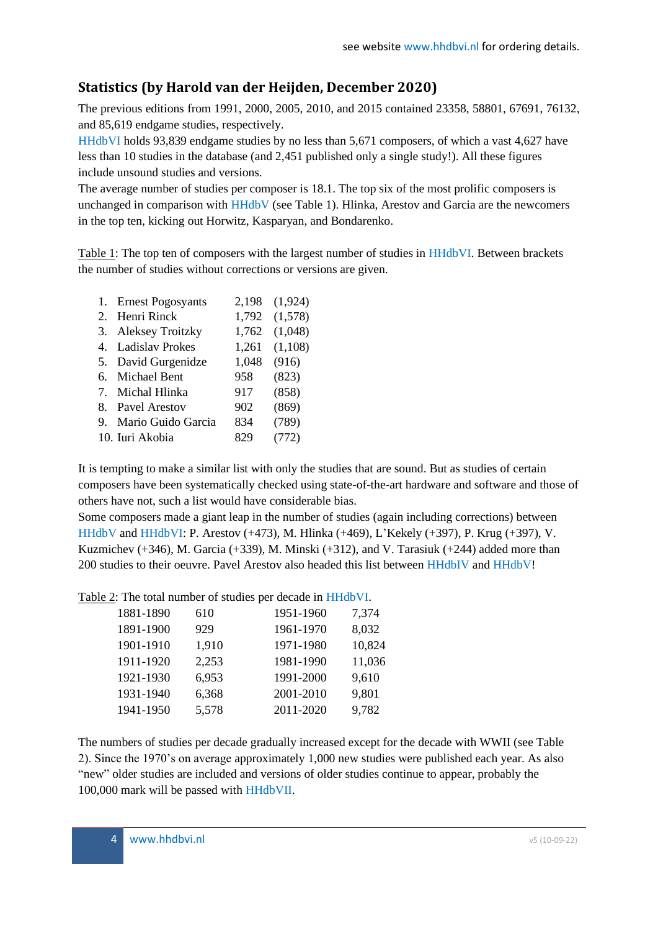# **Statistics (by Harold van der Heijden, December 2020)**

The previous editions from 1991, 2000, 2005, 2010, and 2015 contained 23358, 58801, 67691, 76132, and 85,619 endgame studies, respectively.

HHdbVI holds 93,839 endgame studies by no less than 5,671 composers, of which a vast 4,627 have less than 10 studies in the database (and 2,451 published only a single study!). All these figures include unsound studies and versions.

The average number of studies per composer is 18.1. The top six of the most prolific composers is unchanged in comparison with HHdbV (see Table 1). Hlinka, Arestov and Garcia are the newcomers in the top ten, kicking out Horwitz, Kasparyan, and Bondarenko.

Table 1: The top ten of composers with the largest number of studies in HHdbVI. Between brackets the number of studies without corrections or versions are given.

| 1. Ernest Pogosyants  | 2,198 | (1,924) |
|-----------------------|-------|---------|
| 2. Henri Rinck        | 1,792 | (1,578) |
| 3. Aleksey Troitzky   | 1,762 | (1,048) |
| 4. Ladislav Prokes    | 1,261 | (1,108) |
| 5. David Gurgenidze   | 1,048 | (916)   |
| 6. Michael Bent       | 958   | (823)   |
| 7. Michal Hlinka      | 917   | (858)   |
| 8. Pavel Arestov      | 902   | (869)   |
| 9. Mario Guido Garcia | 834   | (789)   |
| 10. Iuri Akobia       | 829   | (772)   |
|                       |       |         |

It is tempting to make a similar list with only the studies that are sound. But as studies of certain composers have been systematically checked using state-of-the-art hardware and software and those of others have not, such a list would have considerable bias.

Some composers made a giant leap in the number of studies (again including corrections) between HHdbV and HHdbVI: P. Arestov (+473), M. Hlinka (+469), L'Kekely (+397), P. Krug (+397), V. Kuzmichev  $(+346)$ , M. Garcia  $(+339)$ , M. Minski  $(+312)$ , and V. Tarasiuk  $(+244)$  added more than 200 studies to their oeuvre. Pavel Arestov also headed this list between HHdbIV and HHdbV!

Table 2: The total number of studies per decade in HHdbVI.

| 1881-1890 | 610   | 1951-1960 | 7,374  |
|-----------|-------|-----------|--------|
| 1891-1900 | 929   | 1961-1970 | 8,032  |
| 1901-1910 | 1,910 | 1971-1980 | 10,824 |
| 1911-1920 | 2,253 | 1981-1990 | 11,036 |
| 1921-1930 | 6,953 | 1991-2000 | 9,610  |
| 1931-1940 | 6,368 | 2001-2010 | 9,801  |
| 1941-1950 | 5,578 | 2011-2020 | 9,782  |
|           |       |           |        |

The numbers of studies per decade gradually increased except for the decade with WWII (see Table 2). Since the 1970's on average approximately 1,000 new studies were published each year. As also "new" older studies are included and versions of older studies continue to appear, probably the 100,000 mark will be passed with HHdbVII.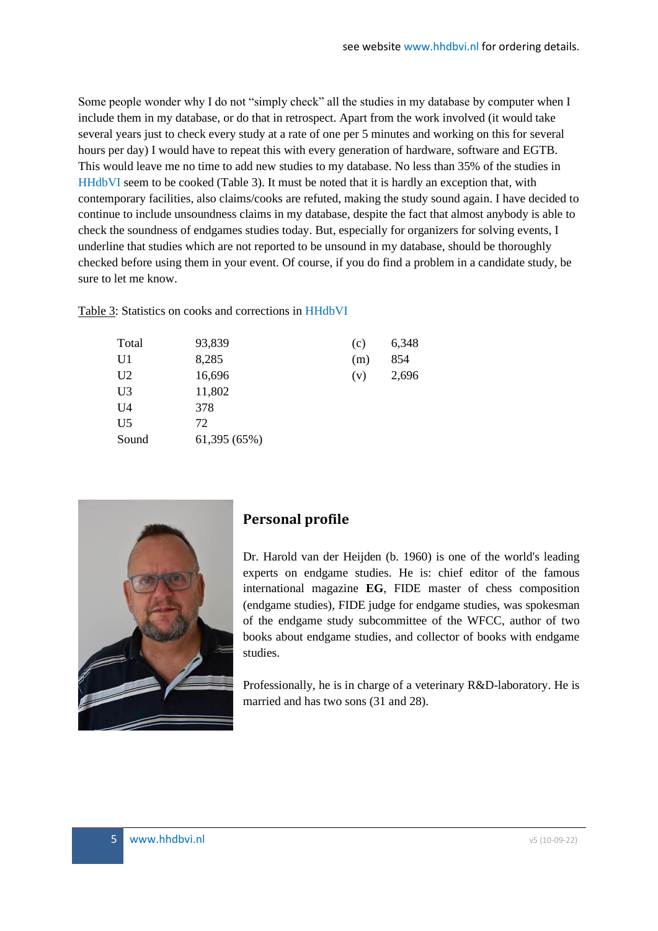Some people wonder why I do not "simply check" all the studies in my database by computer when I include them in my database, or do that in retrospect. Apart from the work involved (it would take several years just to check every study at a rate of one per 5 minutes and working on this for several hours per day) I would have to repeat this with every generation of hardware, software and EGTB. This would leave me no time to add new studies to my database. No less than 35% of the studies in HHdbVI seem to be cooked (Table 3). It must be noted that it is hardly an exception that, with contemporary facilities, also claims/cooks are refuted, making the study sound again. I have decided to continue to include unsoundness claims in my database, despite the fact that almost anybody is able to check the soundness of endgames studies today. But, especially for organizers for solving events, I underline that studies which are not reported to be unsound in my database, should be thoroughly checked before using them in your event. Of course, if you do find a problem in a candidate study, be sure to let me know.

Table 3: Statistics on cooks and corrections in HHdbVI

| Total          | 93,839       | (c) | 6,348 |
|----------------|--------------|-----|-------|
| U1             | 8,285        | (m) | 854   |
| U <sub>2</sub> | 16,696       | (v) | 2,696 |
| U <sub>3</sub> | 11,802       |     |       |
| U4             | 378          |     |       |
| U <sub>5</sub> | 72           |     |       |
| Sound          | 61,395 (65%) |     |       |



# **Personal profile**

Dr. Harold van der Heijden (b. 1960) is one of the world's leading experts on endgame studies. He is: chief editor of the famous international magazine **EG**, FIDE master of chess composition (endgame studies), FIDE judge for endgame studies, was spokesman of the endgame study subcommittee of the WFCC, author of two books about endgame studies, and collector of books with endgame studies.

Professionally, he is in charge of a veterinary R&D-laboratory. He is married and has two sons (31 and 28).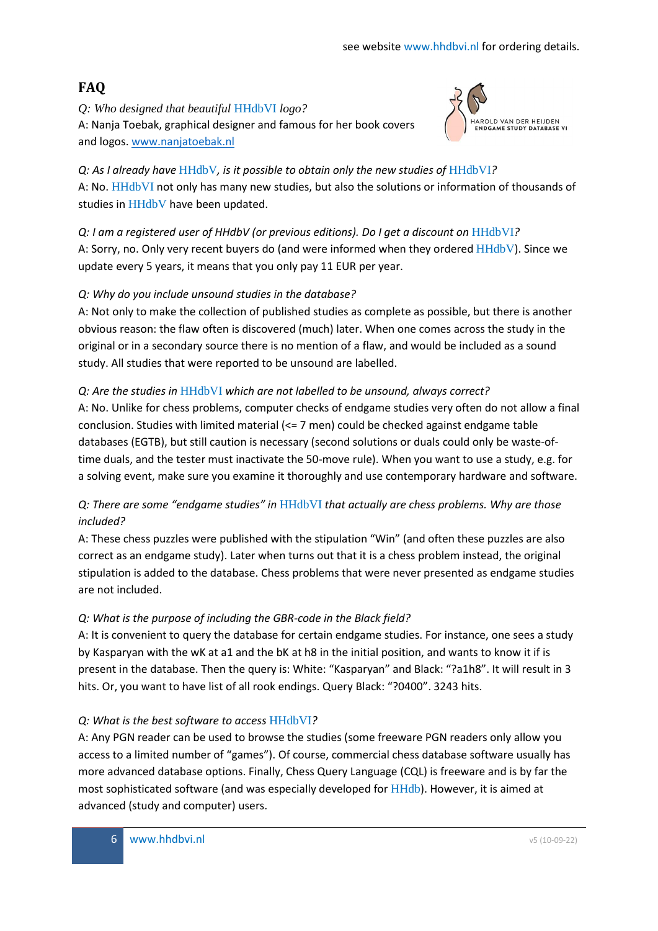# **FAQ**

*Q: Who designed that beautiful* HHdbVI *logo?* A: Nanja Toebak, graphical designer and famous for her book covers and logos. [www.nanjatoebak.nl](http://www.nanjatoebak.nl/)



*Q: As I already have* HHdbV*, is it possible to obtain only the new studies of* HHdbVI*?* A: No. HHdbVI not only has many new studies, but also the solutions or information of thousands of studies in HHdbV have been updated.

*Q: I am a registered user of HHdbV (or previous editions). Do I get a discount on* HHdbVI*?* A: Sorry, no. Only very recent buyers do (and were informed when they ordered HHdbV). Since we update every 5 years, it means that you only pay 11 EUR per year.

### *Q: Why do you include unsound studies in the database?*

A: Not only to make the collection of published studies as complete as possible, but there is another obvious reason: the flaw often is discovered (much) later. When one comes across the study in the original or in a secondary source there is no mention of a flaw, and would be included as a sound study. All studies that were reported to be unsound are labelled.

### *Q: Are the studies in* HHdbVI *which are not labelled to be unsound, always correct?*

A: No. Unlike for chess problems, computer checks of endgame studies very often do not allow a final conclusion. Studies with limited material (<= 7 men) could be checked against endgame table databases (EGTB), but still caution is necessary (second solutions or duals could only be waste-oftime duals, and the tester must inactivate the 50-move rule). When you want to use a study, e.g. for a solving event, make sure you examine it thoroughly and use contemporary hardware and software.

# *Q: There are some "endgame studies" in* HHdbVI *that actually are chess problems. Why are those included?*

A: These chess puzzles were published with the stipulation "Win" (and often these puzzles are also correct as an endgame study). Later when turns out that it is a chess problem instead, the original stipulation is added to the database. Chess problems that were never presented as endgame studies are not included.

### *Q: What is the purpose of including the GBR-code in the Black field?*

A: It is convenient to query the database for certain endgame studies. For instance, one sees a study by Kasparyan with the wK at a1 and the bK at h8 in the initial position, and wants to know it if is present in the database. Then the query is: White: "Kasparyan" and Black: "?a1h8". It will result in 3 hits. Or, you want to have list of all rook endings. Query Black: "?0400". 3243 hits.

### *Q: What is the best software to access* HHdbVI*?*

A: Any PGN reader can be used to browse the studies (some freeware PGN readers only allow you access to a limited number of "games"). Of course, commercial chess database software usually has more advanced database options. Finally, Chess Query Language (CQL) is freeware and is by far the most sophisticated software (and was especially developed for HHdb). However, it is aimed at advanced (study and computer) users.